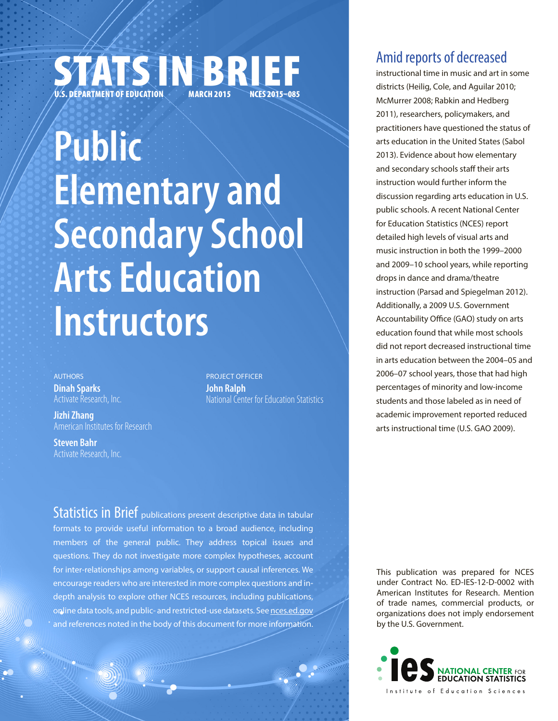# STATS IN BRIEF **NCES 2015–085**

# **Public Elementary and Secondary School Arts Education Instructors**

**AUTHORS Dinah Sparks** Activate Research, Inc.

**Jizhi Zhang** American Institutes for Research

**Steven Bahr** Activate Research, Inc.

PROJECT OFFICER **John Ralph** National Center for Education Statistics

Statistics in Brief publications present descriptive data in tabular formats to provide useful information to a broad audience, including members of the general public. They address topical issues and questions. They do not investigate more complex hypotheses, account for inter-relationships among variables, or support causal inferences. We encourage readers who are interested in more complex questions and indepth analysis to explore other NCES resources, including publications, online data tools, and public- and restricted-use datasets. See nces.ed.gov and references noted in the body of this document for more information.

# Amid reports of decreased

instructional time in music and art in some districts (Heilig, Cole, and Aguilar 2010; McMurrer 2008; Rabkin and Hedberg 2011), researchers, policymakers, and practitioners have questioned the status of arts education in the United States (Sabol 2013). Evidence about how elementary and secondary schools staff their arts instruction would further inform the discussion regarding arts education in U.S. public schools. A recent National Center for Education Statistics (NCES) report detailed high levels of visual arts and music instruction in both the 1999–2000 and 2009–10 school years, while reporting drops in dance and drama/theatre instruction (Parsad and Spiegelman 2012). Additionally, a 2009 U.S. Government Accountability Office (GAO) study on arts education found that while most schools did not report decreased instructional time in arts education between the 2004–05 and 2006–07 school years, those that had high percentages of minority and low-income students and those labeled as in need of academic improvement reported reduced arts instructional time (U.S. GAO 2009).

This publication was prepared for NCES under Contract No. ED-IES-12-D-0002 with American Institutes for Research. Mention of trade names, commercial products, or organizations does not imply endorsement by the U.S. Government.

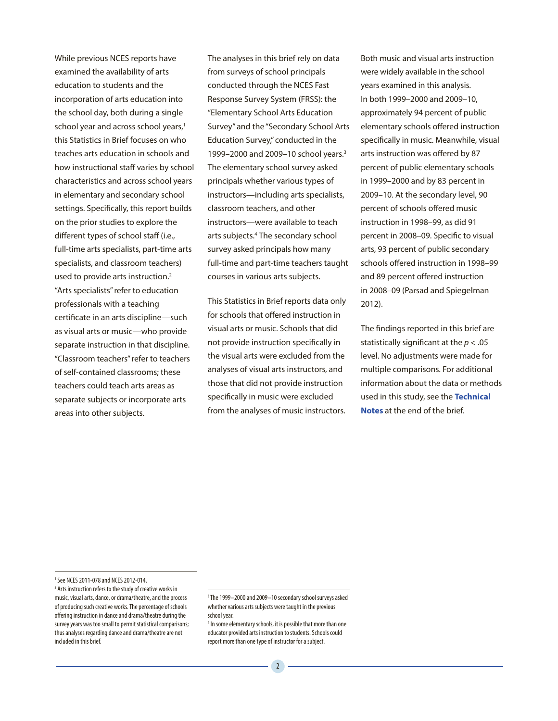While previous NCES reports have examined the availability of arts education to students and the incorporation of arts education into the school day, both during a single school year and across school years,<sup>1</sup> this Statistics in Brief focuses on who teaches arts education in schools and how instructional staff varies by school characteristics and across school years in elementary and secondary school settings. Specifically, this report builds on the prior studies to explore the different types of school staff (i.e., full-time arts specialists, part-time arts specialists, and classroom teachers) used to provide arts instruction.<sup>2</sup> "Arts specialists" refer to education professionals with a teaching certificate in an arts discipline—such as visual arts or music—who provide separate instruction in that discipline. "Classroom teachers" refer to teachers of self-contained classrooms; these teachers could teach arts areas as separate subjects or incorporate arts areas into other subjects.

The analyses in this brief rely on data from surveys of school principals conducted through the NCES Fast Response Survey System (FRSS): the "Elementary School Arts Education Survey" and the "Secondary School Arts Education Survey," conducted in the 1999–2000 and 2009–10 school years.3 The elementary school survey asked principals whether various types of instructors—including arts specialists, classroom teachers, and other instructors—were available to teach arts subjects.4 The secondary school survey asked principals how many full-time and part-time teachers taught courses in various arts subjects.

This Statistics in Brief reports data only for schools that offered instruction in visual arts or music. Schools that did not provide instruction specifically in the visual arts were excluded from the analyses of visual arts instructors, and those that did not provide instruction specifically in music were excluded from the analyses of music instructors.

Both music and visual arts instruction were widely available in the school years examined in this analysis. In both 1999–2000 and 2009–10, approximately 94 percent of public elementary schools offered instruction specifically in music. Meanwhile, visual arts instruction was offered by 87 percent of public elementary schools in 1999–2000 and by 83 percent in 2009–10. At the secondary level, 90 percent of schools offered music instruction in 1998–99, as did 91 percent in 2008–09. Specific to visual arts, 93 percent of public secondary schools offered instruction in 1998–99 and 89 percent offered instruction in 2008–09 (Parsad and Spiegelman 2012).

The findings reported in this brief are statistically significant at the *p* < .05 level. No adjustments were made for multiple comparisons. For additional information about the data or methods used in this study, see the **Technical Notes** at the end of the brief.

<sup>1</sup> See NCES 2011-078 and NCES 2012-014.

<sup>&</sup>lt;sup>2</sup> Arts instruction refers to the study of creative works in music, visual arts, dance, or drama/theatre, and the process of producing such creative works. The percentage of schools offering instruction in dance and drama/theatre during the survey years was too small to permit statistical comparisons; thus analyses regarding dance and drama/theatre are not included in this brief.

<sup>3</sup> The 1999–2000 and 2009–10 secondary school surveys asked whether various arts subjects were taught in the previous school year.

<sup>4</sup> In some elementary schools, it is possible that more than one educator provided arts instruction to students. Schools could report more than one type of instructor for a subject.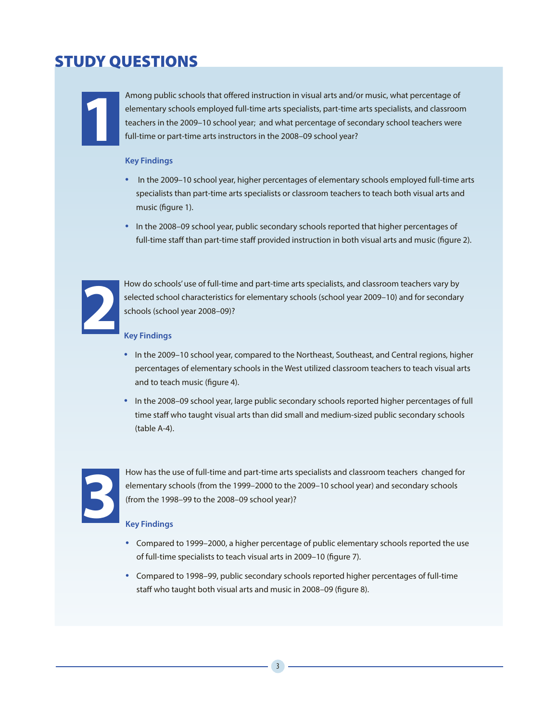# STUDY QUESTIONS



**1** Among public schools that offered instruction in visual arts and/or music, what percentage of elementary schools employed full-time arts specialists, part-time arts specialists, and classroom teachers in the 2009–10 school year; and what percentage of secondary school teachers were full-time or part-time arts instructors in the 2008–09 school year?

#### **Key Findings**

- In the 2009–10 school year, higher percentages of elementary schools employed full-time arts specialists than part-time arts specialists or classroom teachers to teach both visual arts and music (figure 1).
- In the 2008–09 school year, public secondary schools reported that higher percentages of full-time staff than part-time staff provided instruction in both visual arts and music (figure 2).



How do schools' use of full-time and part-time arts specialists, and classroom teachers vary by selected school characteristics for elementary schools (school year 2009–10) and for secondary schools (school year 2008–09)?

#### **Key Findings**

- In the 2009–10 school year, compared to the Northeast, Southeast, and Central regions, higher percentages of elementary schools in the West utilized classroom teachers to teach visual arts and to teach music (figure 4).
- In the 2008–09 school year, large public secondary schools reported higher percentages of full time staff who taught visual arts than did small and medium-sized public secondary schools (table A-4).



How has the use of full-time and part-time arts specialists and classroom teachers changed for<br>elementary schools (from the 1998–99 to the 2008–09 school year)?<br>Key Findings<br>Reg Findings elementary schools (from the 1999–2000 to the 2009–10 school year) and secondary schools (from the 1998–99 to the 2008–09 school year)?

#### **Key Findings**

- Compared to 1999–2000, a higher percentage of public elementary schools reported the use of full-time specialists to teach visual arts in 2009–10 (figure 7).
- Compared to 1998–99, public secondary schools reported higher percentages of full-time staff who taught both visual arts and music in 2008–09 (figure 8).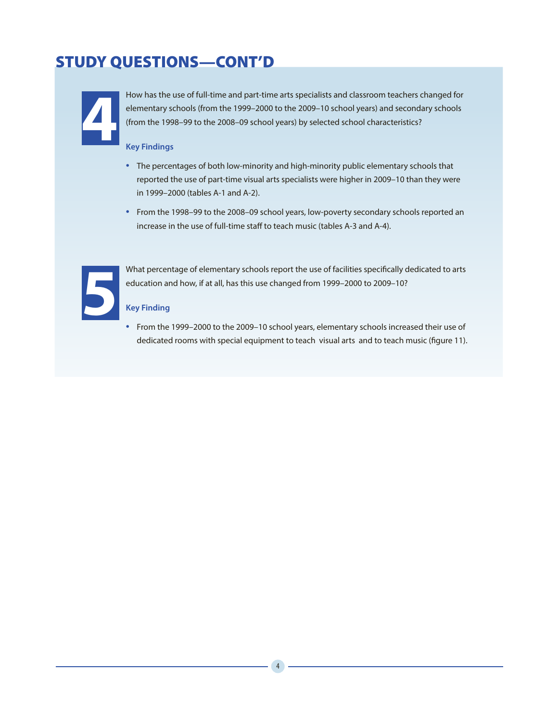# STUDY QUESTIONS—CONT'D



**4** How has the use of full-time and part-time arts specialists and classroom teachers changed for elementary schools (from the 1999–2000 to the 2009–10 school years) and secondary schools (from the 1998–99 to the 2008–09 school years) by selected school characteristics?

#### **Key Findings**

- The percentages of both low-minority and high-minority public elementary schools that reported the use of part-time visual arts specialists were higher in 2009–10 than they were in 1999–2000 (tables A-1 and A-2).
- From the 1998–99 to the 2008–09 school years, low-poverty secondary schools reported an increase in the use of full-time staff to teach music (tables A-3 and A-4).



**5** What percentage of elementary schools report the use of facilities specifically dedicated to arts education and how, if at all, has this use changed from 1999–2000 to 2009–10?

#### **Key Finding**

• From the 1999–2000 to the 2009–10 school years, elementary schools increased their use of dedicated rooms with special equipment to teach visual arts and to teach music (figure 11).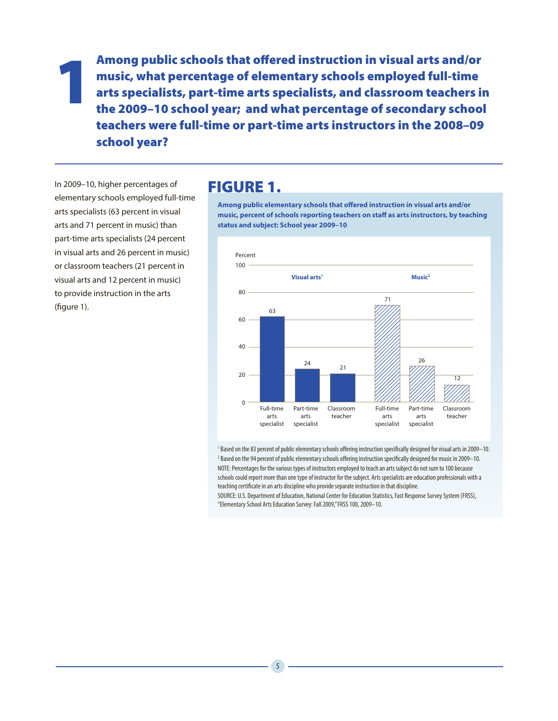Among public schools that offered instruction in visual arts and/or<br>music, what percentage of elementary schools employed full-time<br>arts specialists, part-time arts specialists, and classroom teachers in<br>the 2009–10 school music, what percentage of elementary schools employed full-time arts specialists, part-time arts specialists, and classroom teachers in teachers were full-time or part-time arts instructors in the 2008–09 school year?

In 2009–10, higher percentages of elementary schools employed full-time arts specialists (63 percent in visual arts and 71 percent in music) than part-time arts specialists (24 percent in visual arts and 26 percent in music) or classroom teachers (21 percent in visual arts and 12 percent in music) to provide instruction in the arts (figure 1).

### FIGURE 1.

**Among public elementary schools that offered instruction in visual arts and/or music, percent of schools reporting teachers on staff as arts instructors, by teaching status and subject: School year 2009–10**



1 Based on the 83 percent of public elementary schools offering instruction specifically designed for visual arts in 2009–10. 2 Based on the 94 percent of public elementary schools offering instruction specifically designed for music in 2009–10. NOTE: Percentages for the various types of instructors employed to teach an arts subject do not sum to 100 because schools could report more than one type of instructor for the subject. Arts specialists are education professionals with a teaching certificate in an arts discipline who provide separate instruction in that discipline.

SOURCE: U.S. Department of Education, National Center for Education Statistics, Fast Response Survey System (FRSS), "Elementary School Arts Education Survey: Fall 2009," FRSS 100, 2009–10.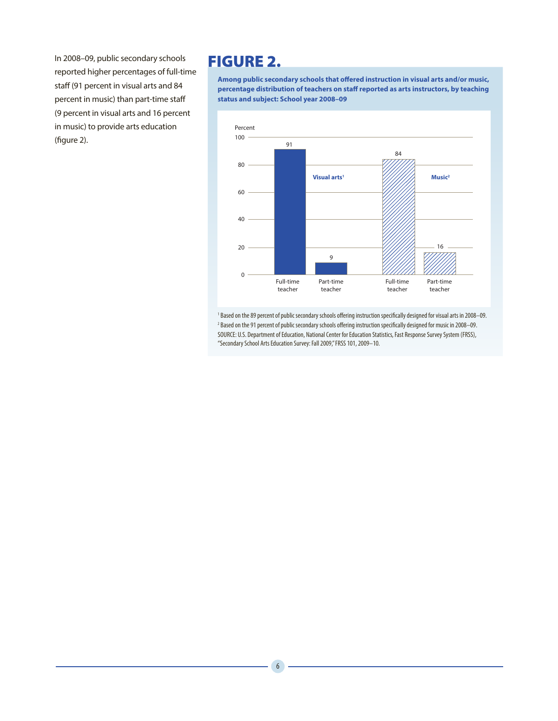In 2008–09, public secondary schools reported higher percentages of full-time staff (91 percent in visual arts and 84 percent in music) than part-time staff (9 percent in visual arts and 16 percent in music) to provide arts education (figure 2).

# FIGURE 2.

**Among public secondary schools that offered instruction in visual arts and/or music, percentage distribution of teachers on staff reported as arts instructors, by teaching status and subject: School year 2008–09**



1 Based on the 89 percent of public secondary schools offering instruction specifically designed for visual arts in 2008–09. 2 Based on the 91 percent of public secondary schools offering instruction specifically designed for music in 2008–09. SOURCE: U.S. Department of Education, National Center for Education Statistics, Fast Response Survey System (FRSS), "Secondary School Arts Education Survey: Fall 2009," FRSS 101, 2009–10.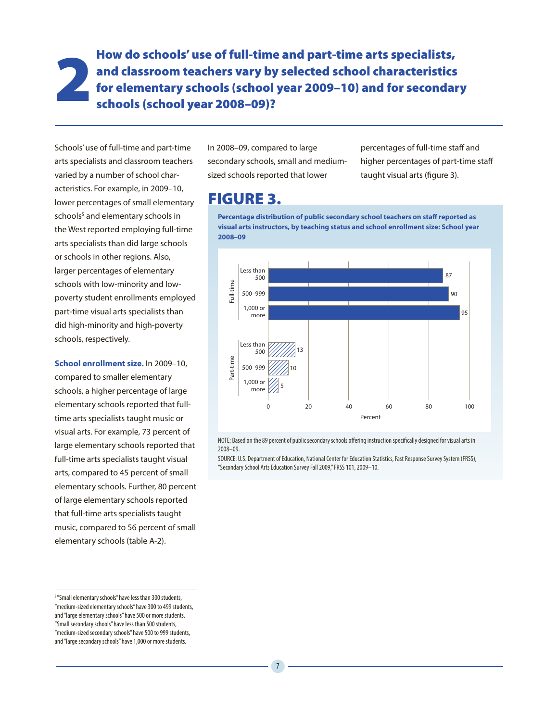2 How do schools' use of full-time and part-time arts specialists, and classroom teachers vary by selected school characteristics for elementary schools (school year 2009–10) and for secondary schools (school year 2008–09)?

Schools' use of full-time and part-time arts specialists and classroom teachers varied by a number of school characteristics. For example, in 2009–10, lower percentages of small elementary schools<sup>5</sup> and elementary schools in the West reported employing full-time arts specialists than did large schools or schools in other regions. Also, larger percentages of elementary schools with low-minority and lowpoverty student enrollments employed part-time visual arts specialists than did high-minority and high-poverty schools, respectively.

**School enrollment size.** In 2009–10, compared to smaller elementary schools, a higher percentage of large elementary schools reported that fulltime arts specialists taught music or visual arts. For example, 73 percent of large elementary schools reported that full-time arts specialists taught visual arts, compared to 45 percent of small elementary schools. Further, 80 percent of large elementary schools reported that full-time arts specialists taught music, compared to 56 percent of small elementary schools (table A-2).

In 2008–09, compared to large secondary schools, small and mediumsized schools reported that lower

percentages of full-time staff and higher percentages of part-time staff taught visual arts (figure 3).

# FIGURE 3.

**Percentage distribution of public secondary school teachers on staff reported as visual arts instructors, by teaching status and school enrollment size: School year 2008–09**



NOTE: Based on the 89 percent of public secondary schools offering instruction specifically designed for visual arts in 2008–09.

SOURCE: U.S. Department of Education, National Center for Education Statistics, Fast Response Survey System (FRSS), "Secondary School Arts Education Survey Fall 2009," FRSS 101, 2009–10.

<sup>&</sup>lt;sup>5</sup> "Small elementary schools" have less than 300 students, "medium-sized elementary schools" have 300 to 499 students, and "large elementary schools" have 500 or more students. "Small secondary schools" have less than 500 students, "medium-sized secondary schools" have 500 to 999 students, and "large secondary schools" have 1,000 or more students.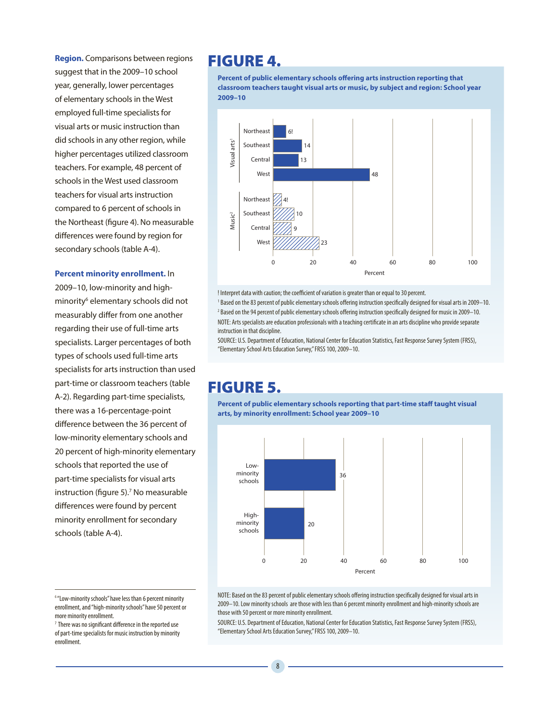**Region.** Comparisons between regions suggest that in the 2009–10 school year, generally, lower percentages of elementary schools in the West employed full-time specialists for visual arts or music instruction than did schools in any other region, while higher percentages utilized classroom teachers. For example, 48 percent of schools in the West used classroom teachers for visual arts instruction compared to 6 percent of schools in the Northeast (figure 4). No measurable differences were found by region for secondary schools (table A-4).

#### **Percent minority enrollment.** In

2009–10, low-minority and highminority<sup>6</sup> elementary schools did not measurably differ from one another regarding their use of full-time arts specialists. Larger percentages of both types of schools used full-time arts specialists for arts instruction than used part-time or classroom teachers (table A-2). Regarding part-time specialists, there was a 16-percentage-point difference between the 36 percent of low-minority elementary schools and 20 percent of high-minority elementary schools that reported the use of part-time specialists for visual arts instruction (figure 5).<sup>7</sup> No measurable differences were found by percent minority enrollment for secondary schools (table A-4).

## FIGURE 4.

**Percent of public elementary schools offering arts instruction reporting that classroom teachers taught visual arts or music, by subject and region: School year 2009–10**



! Interpret data with caution; the coefficient of variation is greater than or equal to 30 percent.

<sup>1</sup> Based on the 83 percent of public elementary schools offering instruction specifically designed for visual arts in 2009–10. 2 Based on the 94 percent of public elementary schools offering instruction specifically designed for music in 2009–10. NOTE: Arts specialists are education professionals with a teaching certificate in an arts discipline who provide separate instruction in that discipline.

SOURCE: U.S. Department of Education, National Center for Education Statistics, Fast Response Survey System (FRSS), "Elementary School Arts Education Survey," FRSS 100, 2009–10.

# FIGURE 5.

**Percent of public elementary schools reporting that part-time staff taught visual arts, by minority enrollment: School year 2009–10**



<sup>6</sup> "Low-minority schools" have less than 6 percent minority enrollment, and "high-minority schools" have 50 percent or more minority enrollment.

enrollment.

SOURCE: U.S. Department of Education, National Center for Education Statistics, Fast Response Survey System (FRSS), "Elementary School Arts Education Survey," FRSS 100, 2009–10.

 $7$  There was no significant difference in the reported use of part-time specialists for music instruction by minority

NOTE: Based on the 83 percent of public elementary schools offering instruction specifically designed for visual arts in 2009–10. Low minority schools are those with less than 6 percent minority enrollment and high-minority schools are those with 50 percent or more minority enrollment.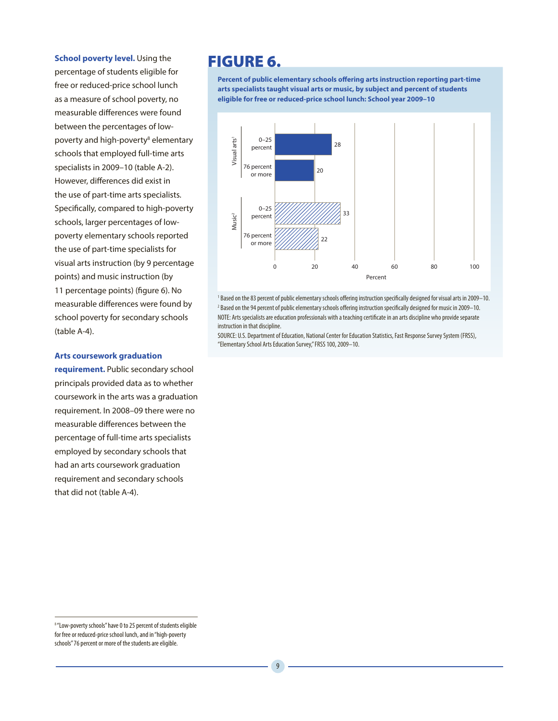#### **School poverty level.** Using the

percentage of students eligible for free or reduced-price school lunch as a measure of school poverty, no measurable differences were found between the percentages of lowpoverty and high-poverty<sup>8</sup> elementary schools that employed full-time arts specialists in 2009–10 (table A-2). However, differences did exist in the use of part-time arts specialists. Specifically, compared to high-poverty schools, larger percentages of lowpoverty elementary schools reported the use of part-time specialists for visual arts instruction (by 9 percentage points) and music instruction (by 11 percentage points) (figure 6). No measurable differences were found by school poverty for secondary schools (table A-4).

#### **Arts coursework graduation**

**requirement.** Public secondary school principals provided data as to whether coursework in the arts was a graduation requirement. In 2008–09 there were no measurable differences between the percentage of full-time arts specialists employed by secondary schools that had an arts coursework graduation requirement and secondary schools that did not (table A-4).

# FIGURE 6.

**Percent of public elementary schools offering arts instruction reporting part-time arts specialists taught visual arts or music, by subject and percent of students eligible for free or reduced-price school lunch: School year 2009–10**



<sup>1</sup> Based on the 83 percent of public elementary schools offering instruction specifically designed for visual arts in 2009–10. 2 Based on the 94 percent of public elementary schools offering instruction specifically designed for music in 2009–10. NOTE: Arts specialists are education professionals with a teaching certificate in an arts discipline who provide separate instruction in that discipline.

SOURCE: U.S. Department of Education, National Center for Education Statistics, Fast Response Survey System (FRSS), "Elementary School Arts Education Survey," FRSS 100, 2009–10.

<sup>8</sup> "Low-poverty schools" have 0 to 25 percent of students eligible for free or reduced-price school lunch, and in "high-poverty schools" 76 percent or more of the students are eligible.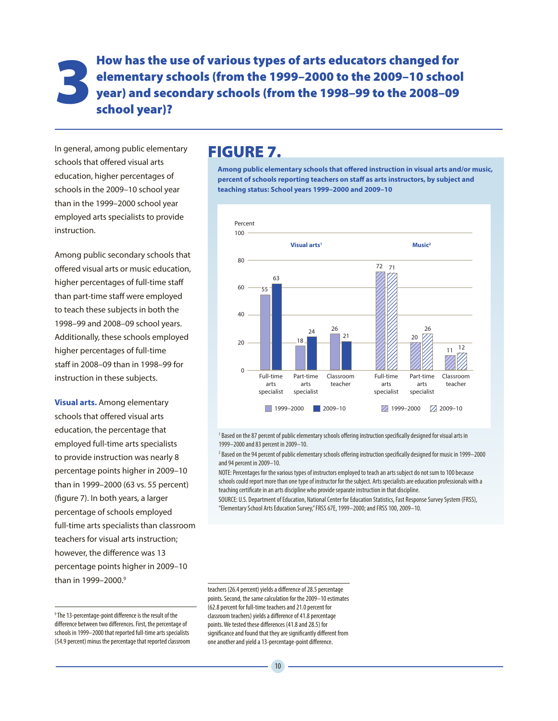3 How has the use of various types of arts educators changed for elementary schools (from the 1999–2000 to the 2009–10 school year) and secondary schools (from the 1998–99 to the 2008–09 school year)? elementary schools (from the 1999–2000 to the 2009–10 school year) and secondary schools (from the 1998–99 to the 2008–09 school year)?

In general, among public elementary schools that offered visual arts education, higher percentages of schools in the 2009–10 school year than in the 1999–2000 school year employed arts specialists to provide instruction.

Among public secondary schools that offered visual arts or music education, higher percentages of full-time staff than part-time staff were employed to teach these subjects in both the 1998–99 and 2008–09 school years. Additionally, these schools employed higher percentages of full-time staff in 2008–09 than in 1998–99 for instruction in these subjects.

**Visual arts.** Among elementary schools that offered visual arts education, the percentage that employed full-time arts specialists to provide instruction was nearly 8 percentage points higher in 2009–10 than in 1999–2000 (63 vs. 55 percent) (figure 7). In both years, a larger percentage of schools employed full-time arts specialists than classroom teachers for visual arts instruction; however, the difference was 13 percentage points higher in 2009–10 than in 1999–2000.9

### FIGURE 7.

**Among public elementary schools that offered instruction in visual arts and/or music, percent of schools reporting teachers on staff as arts instructors, by subject and teaching status: School years 1999–2000 and 2009–10**



<sup>1</sup> Based on the 87 percent of public elementary schools offering instruction specifically designed for visual arts in 1999–2000 and 83 percent in 2009–10.

 $^2$  Based on the 94 percent of public elementary schools offering instruction specifically designed for music in 1999—2000 and 94 percent in 2009–10.

NOTE: Percentages for the various types of instructors employed to teach an arts subject do not sum to 100 because schools could report more than one type of instructor for the subject. Arts specialists are education professionals with a teaching certificate in an arts discipline who provide separate instruction in that discipline.

SOURCE: U.S. Department of Education, National Center for Education Statistics, Fast Response Survey System (FRSS), "Elementary School Arts Education Survey," FRSS 67E, 1999–2000; and FRSS 100, 2009–10.

teachers (26.4 percent) yields a difference of 28.5 percentage points. Second, the same calculation for the 2009–10 estimates (62.8 percent for full-time teachers and 21.0 percent for classroom teachers) yields a difference of 41.8 percentage points. We tested these differences (41.8 and 28.5) for significance and found that they are significantly different from one another and yield a 13-percentage-point difference.

<sup>9</sup> The 13-percentage-point difference is the result of the difference between two differences. First, the percentage of schools in 1999–2000 that reported full-time arts specialists (54.9 percent) minus the percentage that reported classroom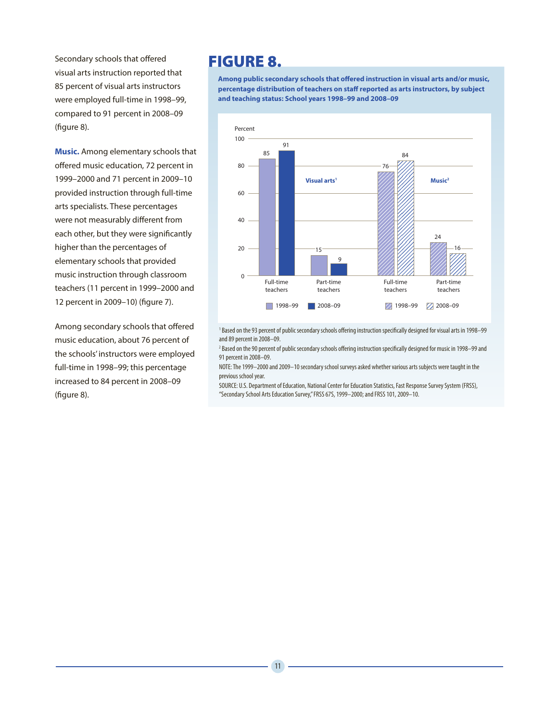Secondary schools that offered visual arts instruction reported that 85 percent of visual arts instructors were employed full-time in 1998–99, compared to 91 percent in 2008–09 (figure 8).

**Music.** Among elementary schools that offered music education, 72 percent in 1999–2000 and 71 percent in 2009–10 provided instruction through full-time arts specialists. These percentages were not measurably different from each other, but they were significantly higher than the percentages of elementary schools that provided music instruction through classroom teachers (11 percent in 1999–2000 and 12 percent in 2009–10) (figure 7).

Among secondary schools that offered music education, about 76 percent of the schools' instructors were employed full-time in 1998–99; this percentage increased to 84 percent in 2008–09 (figure 8).

# FIGURE 8.

**Among public secondary schools that offered instruction in visual arts and/or music, percentage distribution of teachers on staff reported as arts instructors, by subject and teaching status: School years 1998–99 and 2008–09**



1 Based on the 93 percent of public secondary schools offering instruction specifically designed for visual arts in 1998–99 and 89 percent in 2008–09.

2 Based on the 90 percent of public secondary schools offering instruction specifically designed for music in 1998–99 and 91 percent in 2008–09.

NOTE: The 1999–2000 and 2009–10 secondary school surveys asked whether various arts subjects were taught in the previous school year.

SOURCE: U.S. Department of Education, National Center for Education Statistics, Fast Response Survey System (FRSS), "Secondary School Arts Education Survey," FRSS 67S, 1999–2000; and FRSS 101, 2009–10.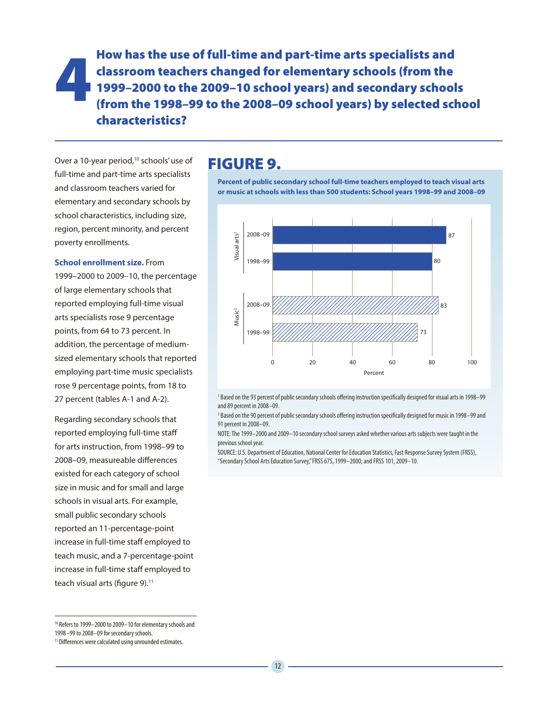4 How has the use of full-time and part-time arts specialists and classroom teachers changed for elementary schools (from the 1999–2000 to the 2009–10 school years) and secondary schools (from the 1998–99 to the 2008–09 school years) by selected school characteristics?

Over a 10-year period,<sup>10</sup> schools' use of full-time and part-time arts specialists and classroom teachers varied for elementary and secondary schools by school characteristics, including size, region, percent minority, and percent poverty enrollments.

**School enrollment size.** From 1999–2000 to 2009–10, the percentage of large elementary schools that reported employing full-time visual arts specialists rose 9 percentage points, from 64 to 73 percent. In addition, the percentage of mediumsized elementary schools that reported employing part-time music specialists rose 9 percentage points, from 18 to 27 percent (tables A-1 and A-2).

Regarding secondary schools that reported employing full-time staff for arts instruction, from 1998–99 to 2008–09, measureable differences existed for each category of school size in music and for small and large schools in visual arts. For example, small public secondary schools reported an 11-percentage-point increase in full-time staff employed to teach music, and a 7-percentage-point increase in full-time staff employed to teach visual arts (figure 9).<sup>11</sup>

# FIGURE 9.

**Percent of public secondary school full-time teachers employed to teach visual arts or music at schools with less than 500 students: School years 1998–99 and 2008–09**



<sup>1</sup> Based on the 93 percent of public secondary schools offering instruction specifically designed for visual arts in 1998–99 and 89 percent in 2008–09.

 $^2$  Based on the 90 percent of public secondary schools offering instruction specifically designed for music in 1998–99 and 91 percent in 2008–09.

NOTE: The 1999–2000 and 2009–10 secondary school surveys asked whether various arts subjects were taught in the previous school year.

SOURCE: U.S. Department of Education, National Center for Education Statistics, Fast Response Survey System (FRSS), "Secondary School Arts Education Survey," FRSS 67S, 1999–2000; and FRSS 101, 2009–10.

<sup>10</sup> Refers to 1999–2000 to 2009–10 for elementary schools and

<sup>1998–99</sup> to 2008–09 for secondary schools.

<sup>&</sup>lt;sup>11</sup> Differences were calculated using unrounded estimates.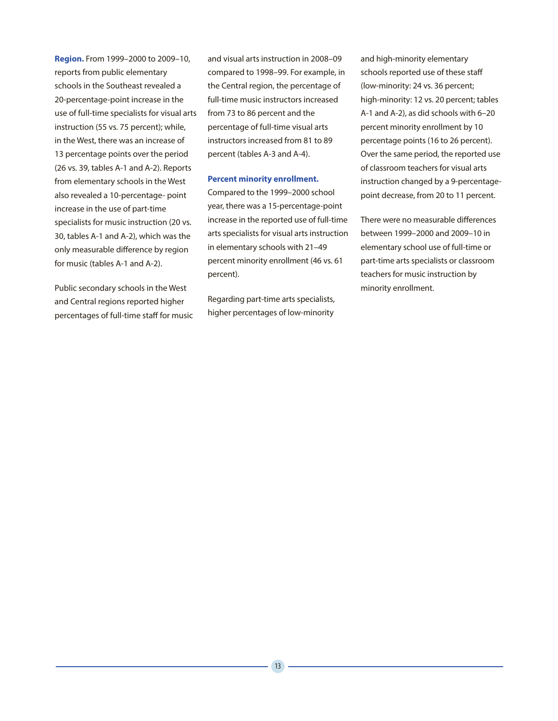**Region.** From 1999–2000 to 2009–10, reports from public elementary schools in the Southeast revealed a 20-percentage-point increase in the use of full-time specialists for visual arts instruction (55 vs. 75 percent); while, in the West, there was an increase of 13 percentage points over the period (26 vs. 39, tables A-1 and A-2). Reports from elementary schools in the West also revealed a 10-percentage- point increase in the use of part-time specialists for music instruction (20 vs. 30, tables A-1 and A-2), which was the only measurable difference by region for music (tables A-1 and A-2).

Public secondary schools in the West and Central regions reported higher percentages of full-time staff for music and visual arts instruction in 2008–09 compared to 1998–99. For example, in the Central region, the percentage of full-time music instructors increased from 73 to 86 percent and the percentage of full-time visual arts instructors increased from 81 to 89 percent (tables A-3 and A-4).

#### **Percent minority enrollment.**

Compared to the 1999–2000 school year, there was a 15-percentage-point increase in the reported use of full-time arts specialists for visual arts instruction in elementary schools with 21–49 percent minority enrollment (46 vs. 61 percent).

Regarding part-time arts specialists, higher percentages of low-minority

and high-minority elementary schools reported use of these staff (low-minority: 24 vs. 36 percent; high-minority: 12 vs. 20 percent; tables A-1 and A-2), as did schools with 6–20 percent minority enrollment by 10 percentage points (16 to 26 percent). Over the same period, the reported use of classroom teachers for visual arts instruction changed by a 9-percentagepoint decrease, from 20 to 11 percent.

There were no measurable differences between 1999–2000 and 2009–10 in elementary school use of full-time or part-time arts specialists or classroom teachers for music instruction by minority enrollment.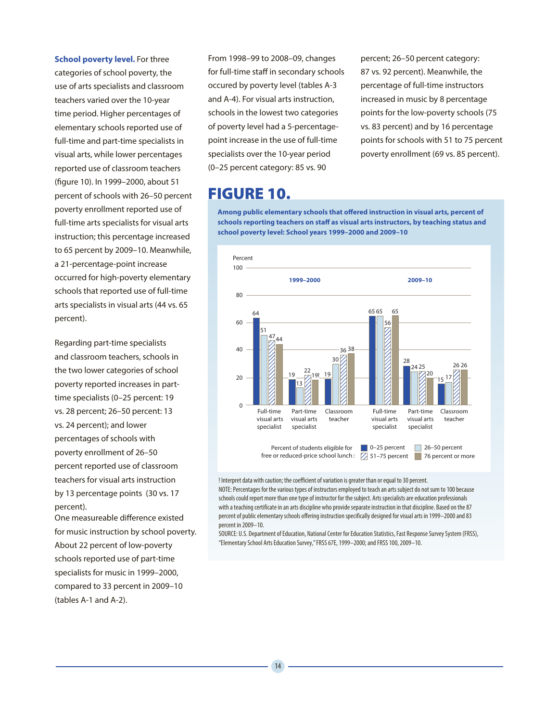**School poverty level.** For three

categories of school poverty, the use of arts specialists and classroom teachers varied over the 10-year time period. Higher percentages of elementary schools reported use of full-time and part-time specialists in visual arts, while lower percentages reported use of classroom teachers (figure 10). In 1999–2000, about 51 percent of schools with 26–50 percent poverty enrollment reported use of full-time arts specialists for visual arts instruction; this percentage increased to 65 percent by 2009–10. Meanwhile, a 21-percentage-point increase occurred for high-poverty elementary schools that reported use of full-time arts specialists in visual arts (44 vs. 65 percent).

Regarding part-time specialists and classroom teachers, schools in the two lower categories of school poverty reported increases in parttime specialists (0–25 percent: 19 vs. 28 percent; 26–50 percent: 13 vs. 24 percent); and lower percentages of schools with poverty enrollment of 26–50 percent reported use of classroom teachers for visual arts instruction by 13 percentage points (30 vs. 17 percent).

One measureable difference existed for music instruction by school poverty. About 22 percent of low-poverty schools reported use of part-time specialists for music in 1999–2000, compared to 33 percent in 2009–10 (tables A-1 and A-2).

From 1998–99 to 2008–09, changes for full-time staff in secondary schools occured by poverty level (tables A-3 and A-4). For visual arts instruction, schools in the lowest two categories of poverty level had a 5-percentagepoint increase in the use of full-time specialists over the 10-year period (0–25 percent category: 85 vs. 90

# FIGURE 10.

percent; 26–50 percent category: 87 vs. 92 percent). Meanwhile, the percentage of full-time instructors increased in music by 8 percentage points for the low-poverty schools (75 vs. 83 percent) and by 16 percentage points for schools with 51 to 75 percent poverty enrollment (69 vs. 85 percent).

**Among public elementary schools that offered instruction in visual arts, percent of schools reporting teachers on staff as visual arts instructors, by teaching status and school poverty level: School years 1999–2000 and 2009–10**



! Interpret data with caution; the coefficient of variation is greater than or equal to 30 percent.

NOTE: Percentages for the various types of instructors employed to teach an arts subject do not sum to 100 because schools could report more than one type of instructor for the subject. Arts specialists are education professionals with a teaching certificate in an arts discipline who provide separate instruction in that discipline. Based on the 87 percent of public elementary schools offering instruction specifically designed for visual arts in 1999–2000 and 83 percent in 2009–10.

SOURCE: U.S. Department of Education, National Center for Education Statistics, Fast Response Survey System (FRSS), "Elementary School Arts Education Survey," FRSS 67E, 1999–2000; and FRSS 100, 2009–10.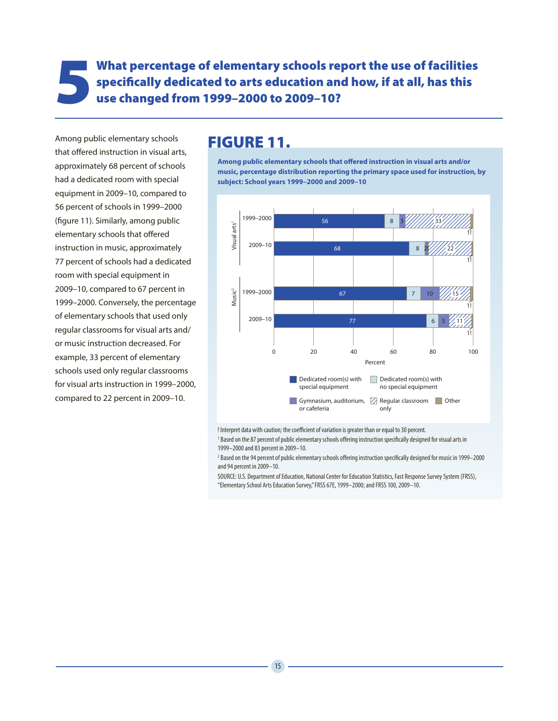What percentage of elementary schools report the use of facilities<br>specifically dedicated to arts education and how, if at all, has this<br>use changed from 1999–2000 to 2009–10? specifically dedicated to arts education and how, if at all, has this use changed from 1999–2000 to 2009–10?

Among public elementary schools that offered instruction in visual arts, approximately 68 percent of schools had a dedicated room with special equipment in 2009–10, compared to 56 percent of schools in 1999–2000 (figure 11). Similarly, among public elementary schools that offered instruction in music, approximately 77 percent of schools had a dedicated room with special equipment in 2009–10, compared to 67 percent in 1999–2000. Conversely, the percentage of elementary schools that used only regular classrooms for visual arts and/ or music instruction decreased. For example, 33 percent of elementary schools used only regular classrooms for visual arts instruction in 1999–2000, compared to 22 percent in 2009–10.

# FIGURE 11.

**Among public elementary schools that offered instruction in visual arts and/or music, percentage distribution reporting the primary space used for instruction, by subject: School years 1999–2000 and 2009–10**



! Interpret data with caution; the coefficient of variation is greater than or equal to 30 percent.

<sup>1</sup> Based on the 87 percent of public elementary schools offering instruction specifically designed for visual arts in 1999–2000 and 83 percent in 2009–10.

 $^2$  Based on the 94 percent of public elementary schools offering instruction specifically designed for music in 1999—2000 and 94 percent in 2009–10.

SOURCE: U.S. Department of Education, National Center for Education Statistics, Fast Response Survey System (FRSS), "Elementary School Arts Education Survey," FRSS 67E, 1999–2000; and FRSS 100, 2009–10.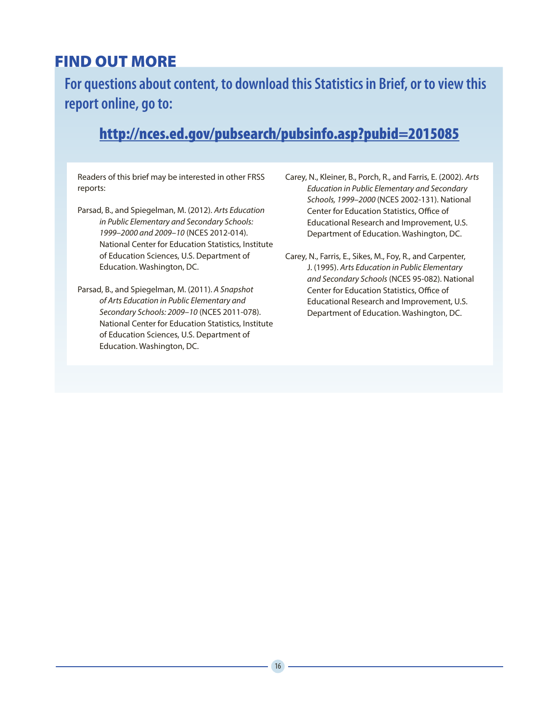# FIND OUT MORE

**For questions about content, to download this Statistics in Brief, or to view this report online, go to:**

# http://nces.ed.gov/pubsearch/pubsinfo.asp?pubid=2015085

Readers of this brief may be interested in other FRSS reports:

- Parsad, B., and Spiegelman, M. (2012). *Arts Education in Public Elementary and Secondary Schools: 1999–2000 and 2009–10* (NCES 2012-014). National Center for Education Statistics, Institute of Education Sciences, U.S. Department of Education. Washington, DC.
- Parsad, B., and Spiegelman, M. (2011). *A Snapshot of Arts Education in Public Elementary and Secondary Schools: 2009–10* (NCES 2011-078). National Center for Education Statistics, Institute of Education Sciences, U.S. Department of Education. Washington, DC.
- Carey, N., Kleiner, B., Porch, R., and Farris, E. (2002). *Arts Education in Public Elementary and Secondary Schools, 1999–2000* (NCES 2002-131). National Center for Education Statistics, Office of Educational Research and Improvement, U.S. Department of Education. Washington, DC.
- Carey, N., Farris, E., Sikes, M., Foy, R., and Carpenter, J. (1995). *Arts Education in Public Elementary and Secondary Schools* (NCES 95-082). National Center for Education Statistics, Office of Educational Research and Improvement, U.S. Department of Education. Washington, DC.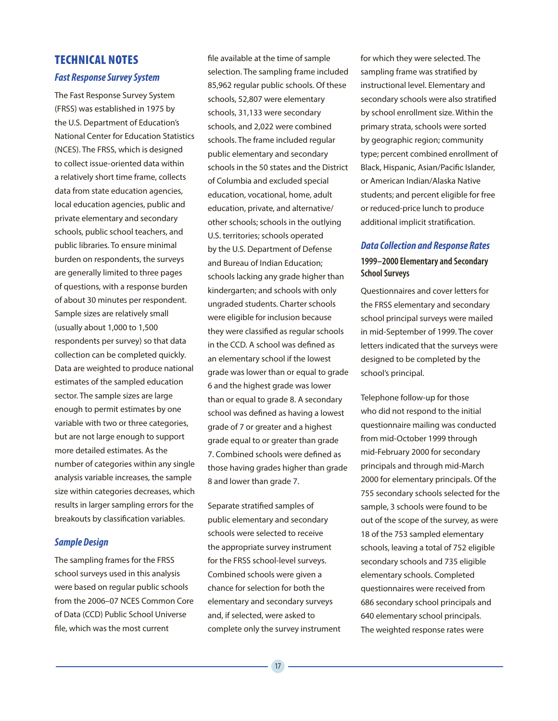#### TECHNICAL NOTES

#### *Fast Response Survey System*

The Fast Response Survey System (FRSS) was established in 1975 by the U.S. Department of Education's National Center for Education Statistics (NCES). The FRSS, which is designed to collect issue-oriented data within a relatively short time frame, collects data from state education agencies, local education agencies, public and private elementary and secondary schools, public school teachers, and public libraries. To ensure minimal burden on respondents, the surveys are generally limited to three pages of questions, with a response burden of about 30 minutes per respondent. Sample sizes are relatively small (usually about 1,000 to 1,500 respondents per survey) so that data collection can be completed quickly. Data are weighted to produce national estimates of the sampled education sector. The sample sizes are large enough to permit estimates by one variable with two or three categories, but are not large enough to support more detailed estimates. As the number of categories within any single analysis variable increases, the sample size within categories decreases, which results in larger sampling errors for the breakouts by classification variables.

#### *Sample Design*

The sampling frames for the FRSS school surveys used in this analysis were based on regular public schools from the 2006–07 NCES Common Core of Data (CCD) Public School Universe file, which was the most current

file available at the time of sample selection. The sampling frame included 85,962 regular public schools. Of these schools, 52,807 were elementary schools, 31,133 were secondary schools, and 2,022 were combined schools. The frame included regular public elementary and secondary schools in the 50 states and the District of Columbia and excluded special education, vocational, home, adult education, private, and alternative/ other schools; schools in the outlying U.S. territories; schools operated by the U.S. Department of Defense and Bureau of Indian Education; schools lacking any grade higher than kindergarten; and schools with only ungraded students. Charter schools were eligible for inclusion because they were classified as regular schools in the CCD. A school was defined as an elementary school if the lowest grade was lower than or equal to grade 6 and the highest grade was lower than or equal to grade 8. A secondary school was defined as having a lowest grade of 7 or greater and a highest grade equal to or greater than grade 7. Combined schools were defined as those having grades higher than grade 8 and lower than grade 7.

Separate stratified samples of public elementary and secondary schools were selected to receive the appropriate survey instrument for the FRSS school-level surveys. Combined schools were given a chance for selection for both the elementary and secondary surveys and, if selected, were asked to complete only the survey instrument for which they were selected. The sampling frame was stratified by instructional level. Elementary and secondary schools were also stratified by school enrollment size. Within the primary strata, schools were sorted by geographic region; community type; percent combined enrollment of Black, Hispanic, Asian/Pacific Islander, or American Indian/Alaska Native students; and percent eligible for free or reduced-price lunch to produce additional implicit stratification.

#### *Data Collection and Response Rates*  **1999–2000 Elementary and Secondary School Surveys**

Questionnaires and cover letters for the FRSS elementary and secondary school principal surveys were mailed in mid-September of 1999. The cover letters indicated that the surveys were designed to be completed by the school's principal.

Telephone follow-up for those who did not respond to the initial questionnaire mailing was conducted from mid-October 1999 through mid-February 2000 for secondary principals and through mid-March 2000 for elementary principals. Of the 755 secondary schools selected for the sample, 3 schools were found to be out of the scope of the survey, as were 18 of the 753 sampled elementary schools, leaving a total of 752 eligible secondary schools and 735 eligible elementary schools. Completed questionnaires were received from 686 secondary school principals and 640 elementary school principals. The weighted response rates were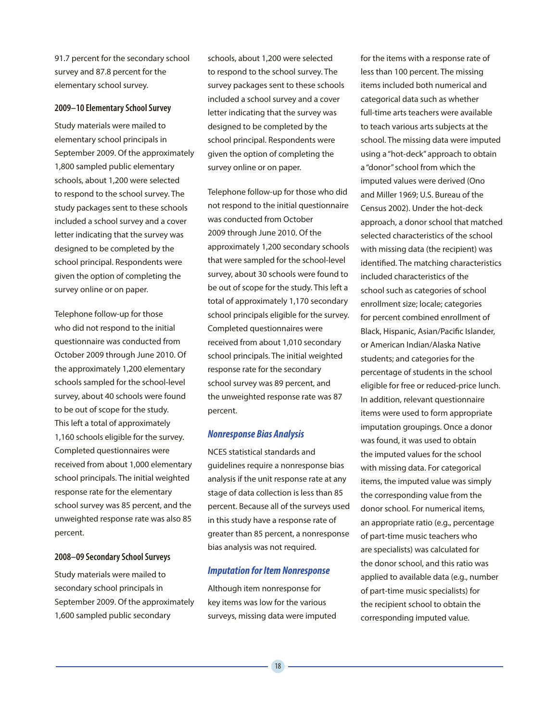91.7 percent for the secondary school survey and 87.8 percent for the elementary school survey.

#### **2009–10 Elementary School Survey**

Study materials were mailed to elementary school principals in September 2009. Of the approximately 1,800 sampled public elementary schools, about 1,200 were selected to respond to the school survey. The study packages sent to these schools included a school survey and a cover letter indicating that the survey was designed to be completed by the school principal. Respondents were given the option of completing the survey online or on paper.

Telephone follow-up for those who did not respond to the initial questionnaire was conducted from October 2009 through June 2010. Of the approximately 1,200 elementary schools sampled for the school-level survey, about 40 schools were found to be out of scope for the study. This left a total of approximately 1,160 schools eligible for the survey. Completed questionnaires were received from about 1,000 elementary school principals. The initial weighted response rate for the elementary school survey was 85 percent, and the unweighted response rate was also 85 percent.

#### **2008–09 Secondary School Surveys**

Study materials were mailed to secondary school principals in September 2009. Of the approximately 1,600 sampled public secondary

schools, about 1,200 were selected to respond to the school survey. The survey packages sent to these schools included a school survey and a cover letter indicating that the survey was designed to be completed by the school principal. Respondents were given the option of completing the survey online or on paper.

Telephone follow-up for those who did not respond to the initial questionnaire was conducted from October 2009 through June 2010. Of the approximately 1,200 secondary schools that were sampled for the school-level survey, about 30 schools were found to be out of scope for the study. This left a total of approximately 1,170 secondary school principals eligible for the survey. Completed questionnaires were received from about 1,010 secondary school principals. The initial weighted response rate for the secondary school survey was 89 percent, and the unweighted response rate was 87 percent.

#### *Nonresponse Bias Analysis*

NCES statistical standards and guidelines require a nonresponse bias analysis if the unit response rate at any stage of data collection is less than 85 percent. Because all of the surveys used in this study have a response rate of greater than 85 percent, a nonresponse bias analysis was not required.

#### *Imputation for Item Nonresponse*

Although item nonresponse for key items was low for the various surveys, missing data were imputed

for the items with a response rate of less than 100 percent. The missing items included both numerical and categorical data such as whether full-time arts teachers were available to teach various arts subjects at the school. The missing data were imputed using a "hot-deck" approach to obtain a "donor" school from which the imputed values were derived (Ono and Miller 1969; U.S. Bureau of the Census 2002). Under the hot-deck approach, a donor school that matched selected characteristics of the school with missing data (the recipient) was identified. The matching characteristics included characteristics of the school such as categories of school enrollment size; locale; categories for percent combined enrollment of Black, Hispanic, Asian/Pacific Islander, or American Indian/Alaska Native students; and categories for the percentage of students in the school eligible for free or reduced-price lunch. In addition, relevant questionnaire items were used to form appropriate imputation groupings. Once a donor was found, it was used to obtain the imputed values for the school with missing data. For categorical items, the imputed value was simply the corresponding value from the donor school. For numerical items, an appropriate ratio (e.g., percentage of part-time music teachers who are specialists) was calculated for the donor school, and this ratio was applied to available data (e.g., number of part-time music specialists) for the recipient school to obtain the corresponding imputed value.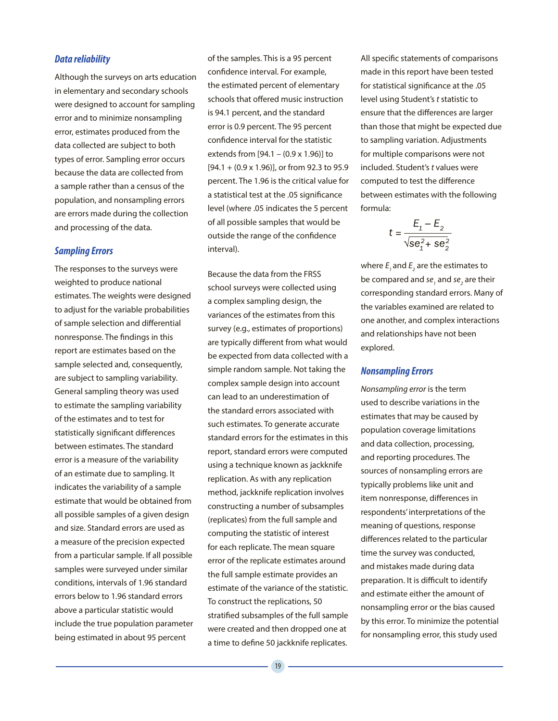#### *Data reliability*

Although the surveys on arts education in elementary and secondary schools were designed to account for sampling error and to minimize nonsampling error, estimates produced from the data collected are subject to both types of error. Sampling error occurs because the data are collected from a sample rather than a census of the population, and nonsampling errors are errors made during the collection and processing of the data.

#### *Sampling Errors*

The responses to the surveys were weighted to produce national estimates. The weights were designed to adjust for the variable probabilities of sample selection and differential nonresponse. The findings in this report are estimates based on the sample selected and, consequently, are subject to sampling variability. General sampling theory was used to estimate the sampling variability of the estimates and to test for statistically significant differences between estimates. The standard error is a measure of the variability of an estimate due to sampling. It indicates the variability of a sample estimate that would be obtained from all possible samples of a given design and size. Standard errors are used as a measure of the precision expected from a particular sample. If all possible samples were surveyed under similar conditions, intervals of 1.96 standard errors below to 1.96 standard errors above a particular statistic would include the true population parameter being estimated in about 95 percent

of the samples. This is a 95 percent confidence interval. For example, the estimated percent of elementary schools that offered music instruction is 94.1 percent, and the standard error is 0.9 percent. The 95 percent confidence interval for the statistic extends from [94.1 – (0.9 x 1.96)] to  $[94.1 + (0.9 \times 1.96)]$ , or from 92.3 to 95.9 percent. The 1.96 is the critical value for a statistical test at the .05 significance level (where .05 indicates the 5 percent of all possible samples that would be outside the range of the confidence interval).

Because the data from the FRSS school surveys were collected using a complex sampling design, the variances of the estimates from this survey (e.g., estimates of proportions) are typically different from what would be expected from data collected with a simple random sample. Not taking the complex sample design into account can lead to an underestimation of the standard errors associated with such estimates. To generate accurate standard errors for the estimates in this report, standard errors were computed using a technique known as jackknife replication. As with any replication method, jackknife replication involves constructing a number of subsamples (replicates) from the full sample and computing the statistic of interest for each replicate. The mean square error of the replicate estimates around the full sample estimate provides an estimate of the variance of the statistic. To construct the replications, 50 stratified subsamples of the full sample were created and then dropped one at a time to define 50 jackknife replicates.

All specific statements of comparisons made in this report have been tested for statistical significance at the .05 level using Student's *t* statistic to ensure that the differences are larger than those that might be expected due to sampling variation. Adjustments for multiple comparisons were not included. Student's *t* values were computed to test the difference between estimates with the following formula:

$$
t = \frac{E_1 - E_2}{\sqrt{\text{se}_1^2 + \text{se}_2^2}}
$$

where  $E_{_I}$  and  $E_{_2}$  are the estimates to be compared and  $s$ e<sub>1</sub> and  $s$ e<sub>2</sub> are their corresponding standard errors. Many of the variables examined are related to one another, and complex interactions and relationships have not been explored.

#### *Nonsampling Errors*

*Nonsampling error* is the term used to describe variations in the estimates that may be caused by population coverage limitations and data collection, processing, and reporting procedures. The sources of nonsampling errors are typically problems like unit and item nonresponse, differences in respondents' interpretations of the meaning of questions, response differences related to the particular time the survey was conducted, and mistakes made during data preparation. It is difficult to identify and estimate either the amount of nonsampling error or the bias caused by this error. To minimize the potential for nonsampling error, this study used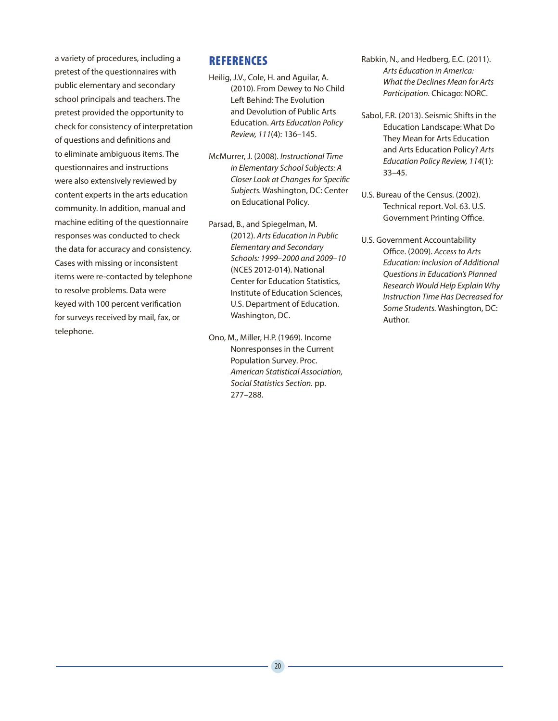a variety of procedures, including a pretest of the questionnaires with public elementary and secondary school principals and teachers. The pretest provided the opportunity to check for consistency of interpretation of questions and definitions and to eliminate ambiguous items. The questionnaires and instructions were also extensively reviewed by content experts in the arts education community. In addition, manual and machine editing of the questionnaire responses was conducted to check the data for accuracy and consistency. Cases with missing or inconsistent items were re-contacted by telephone to resolve problems. Data were keyed with 100 percent verification for surveys received by mail, fax, or telephone.

#### **REFERENCES**

- Heilig, J.V., Cole, H. and Aguilar, A. (2010). From Dewey to No Child Left Behind: The Evolution and Devolution of Public Arts Education. *Arts Education Policy Review, 111*(4): 136–145.
- McMurrer, J. (2008). *Instructional Time in Elementary School Subjects: A Closer Look at Changes for Specific Subjects.* Washington, DC: Center on Educational Policy.
- Parsad, B., and Spiegelman, M. (2012). *Arts Education in Public Elementary and Secondary Schools: 1999–2000 and 2009–10* (NCES 2012-014). National Center for Education Statistics, Institute of Education Sciences, U.S. Department of Education. Washington, DC.
- Ono, M., Miller, H.P. (1969). Income Nonresponses in the Current Population Survey. Proc. *American Statistical Association, Social Statistics Section.* pp. 277–288.
- Rabkin, N., and Hedberg, E.C. (2011). *Arts Education in America: What the Declines Mean for Arts Participation.* Chicago: NORC.
- Sabol, F.R. (2013). Seismic Shifts in the Education Landscape: What Do They Mean for Arts Education and Arts Education Policy? *Arts Education Policy Review, 114*(1): 33–45.
- U.S. Bureau of the Census. (2002). Technical report. Vol. 63. U.S. Government Printing Office.
- U.S. Government Accountability Office. (2009). *Access to Arts Education: Inclusion of Additional Questions in Education's Planned Research Would Help Explain Why Instruction Time Has Decreased for Some Students.* Washington, DC: Author.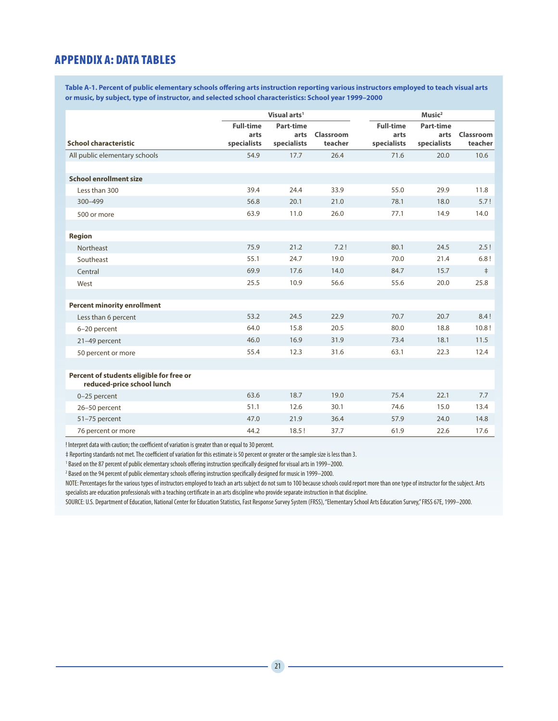#### APPENDIX A: DATA TABLES

**Table A-1. Percent of public elementary schools offering arts instruction reporting various instructors employed to teach visual arts or music, by subject, type of instructor, and selected school characteristics: School year 1999–2000**

|                                          | Visual arts <sup>1</sup> |             |           |                  | Music <sup>2</sup> |            |  |  |
|------------------------------------------|--------------------------|-------------|-----------|------------------|--------------------|------------|--|--|
|                                          | <b>Full-time</b>         | Part-time   |           | <b>Full-time</b> | Part-time          |            |  |  |
| <b>School characteristic</b>             | arts                     | arts        | Classroom | arts             | arts               | Classroom  |  |  |
|                                          | specialists              | specialists | teacher   | specialists      | specialists        | teacher    |  |  |
| All public elementary schools            | 54.9                     | 17.7        | 26.4      | 71.6             | 20.0               | 10.6       |  |  |
|                                          |                          |             |           |                  |                    |            |  |  |
| <b>School enrollment size</b>            |                          |             |           |                  |                    |            |  |  |
| Less than 300                            | 39.4                     | 24.4        | 33.9      | 55.0             | 29.9               | 11.8       |  |  |
| 300-499                                  | 56.8                     | 20.1        | 21.0      | 78.1             | 18.0               | 5.7!       |  |  |
| 500 or more                              | 63.9                     | 11.0        | 26.0      | 77.1             | 14.9               | 14.0       |  |  |
|                                          |                          |             |           |                  |                    |            |  |  |
| <b>Region</b>                            |                          |             |           |                  |                    |            |  |  |
| <b>Northeast</b>                         | 75.9                     | 21.2        | 7.2!      | 80.1             | 24.5               | 2.5!       |  |  |
| Southeast                                | 55.1                     | 24.7        | 19.0      | 70.0             | 21.4               | 6.8!       |  |  |
| Central                                  | 69.9                     | 17.6        | 14.0      | 84.7             | 15.7               | $\ddagger$ |  |  |
| West                                     | 25.5                     | 10.9        | 56.6      | 55.6             | 20.0               | 25.8       |  |  |
|                                          |                          |             |           |                  |                    |            |  |  |
| <b>Percent minority enrollment</b>       |                          |             |           |                  |                    |            |  |  |
| Less than 6 percent                      | 53.2                     | 24.5        | 22.9      | 70.7             | 20.7               | 8.4!       |  |  |
| 6-20 percent                             | 64.0                     | 15.8        | 20.5      | 80.0             | 18.8               | 10.8!      |  |  |
| 21-49 percent                            | 46.0                     | 16.9        | 31.9      | 73.4             | 18.1               | 11.5       |  |  |
| 50 percent or more                       | 55.4                     | 12.3        | 31.6      | 63.1             | 22.3               | 12.4       |  |  |
|                                          |                          |             |           |                  |                    |            |  |  |
| Percent of students eligible for free or |                          |             |           |                  |                    |            |  |  |
| reduced-price school lunch               |                          |             |           |                  |                    |            |  |  |
| 0-25 percent                             | 63.6                     | 18.7        | 19.0      | 75.4             | 22.1               | 7.7        |  |  |
| 26-50 percent                            | 51.1                     | 12.6        | 30.1      | 74.6             | 15.0               | 13.4       |  |  |
| 51-75 percent                            | 47.0                     | 21.9        | 36.4      | 57.9             | 24.0               | 14.8       |  |  |
| 76 percent or more                       | 44.2                     | 18.5!       | 37.7      | 61.9             | 22.6               | 17.6       |  |  |

! Interpret data with caution; the coefficient of variation is greater than or equal to 30 percent.

‡ Reporting standards not met. The coefficient of variation for this estimate is 50 percent or greater or the sample size is less than 3.

1 Based on the 87 percent of public elementary schools offering instruction specifically designed for visual arts in 1999–2000.

2 Based on the 94 percent of public elementary schools offering instruction specifically designed for music in 1999–2000.

NOTE: Percentages for the various types of instructors employed to teach an arts subject do not sum to 100 because schools could report more than one type of instructor for the subject. Arts specialists are education professionals with a teaching certificate in an arts discipline who provide separate instruction in that discipline.

SOURCE: U.S. Department of Education, National Center for Education Statistics, Fast Response Survey System (FRSS), "Elementary School Arts Education Survey," FRSS 67E, 1999–2000.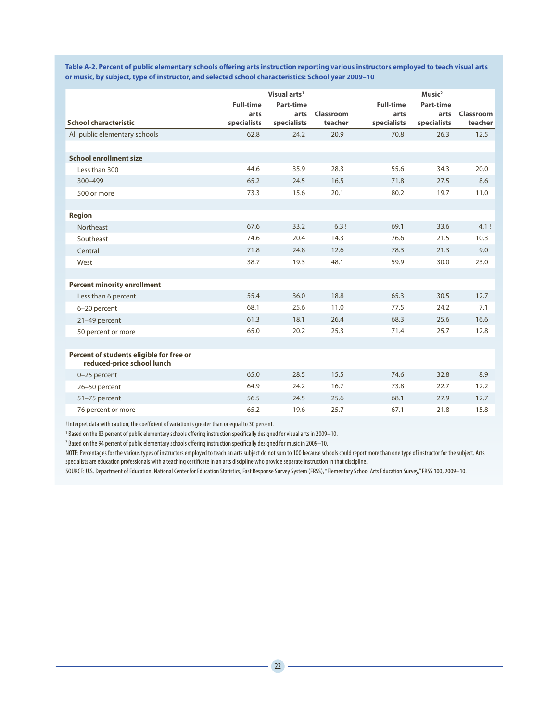**Table A-2. Percent of public elementary schools offering arts instruction reporting various instructors employed to teach visual arts or music, by subject, type of instructor, and selected school characteristics: School year 2009–10**

|                                          | Visual arts <sup>1</sup> |             |           |                  | $M$ usic <sup>2</sup> |           |
|------------------------------------------|--------------------------|-------------|-----------|------------------|-----------------------|-----------|
|                                          | <b>Full-time</b>         | Part-time   |           | <b>Full-time</b> | Part-time             |           |
| <b>School characteristic</b>             | arts                     | arts        | Classroom | arts             | arts                  | Classroom |
|                                          | specialists              | specialists | teacher   | specialists      | specialists           | teacher   |
| All public elementary schools            | 62.8                     | 24.2        | 20.9      | 70.8             | 26.3                  | 12.5      |
|                                          |                          |             |           |                  |                       |           |
| <b>School enrollment size</b>            |                          |             |           |                  |                       |           |
| Less than 300                            | 44.6                     | 35.9        | 28.3      | 55.6             | 34.3                  | 20.0      |
| $300 - 499$                              | 65.2                     | 24.5        | 16.5      | 71.8             | 27.5                  | 8.6       |
| 500 or more                              | 73.3                     | 15.6        | 20.1      | 80.2             | 19.7                  | 11.0      |
|                                          |                          |             |           |                  |                       |           |
| <b>Region</b>                            |                          |             |           |                  |                       |           |
| Northeast                                | 67.6                     | 33.2        | 6.3!      | 69.1             | 33.6                  | 4.1!      |
| Southeast                                | 74.6                     | 20.4        | 14.3      | 76.6             | 21.5                  | 10.3      |
| Central                                  | 71.8                     | 24.8        | 12.6      | 78.3             | 21.3                  | 9.0       |
| West                                     | 38.7                     | 19.3        | 48.1      | 59.9             | 30.0                  | 23.0      |
|                                          |                          |             |           |                  |                       |           |
| <b>Percent minority enrollment</b>       |                          |             |           |                  |                       |           |
| Less than 6 percent                      | 55.4                     | 36.0        | 18.8      | 65.3             | 30.5                  | 12.7      |
| 6-20 percent                             | 68.1                     | 25.6        | 11.0      | 77.5             | 24.2                  | 7.1       |
| 21-49 percent                            | 61.3                     | 18.1        | 26.4      | 68.3             | 25.6                  | 16.6      |
| 50 percent or more                       | 65.0                     | 20.2        | 25.3      | 71.4             | 25.7                  | 12.8      |
|                                          |                          |             |           |                  |                       |           |
| Percent of students eligible for free or |                          |             |           |                  |                       |           |
| reduced-price school lunch               |                          |             |           |                  |                       |           |
| 0-25 percent                             | 65.0                     | 28.5        | 15.5      | 74.6             | 32.8                  | 8.9       |
| 26-50 percent                            | 64.9                     | 24.2        | 16.7      | 73.8             | 22.7                  | 12.2      |
| 51-75 percent                            | 56.5                     | 24.5        | 25.6      | 68.1             | 27.9                  | 12.7      |
| 76 percent or more                       | 65.2                     | 19.6        | 25.7      | 67.1             | 21.8                  | 15.8      |

! Interpret data with caution; the coefficient of variation is greater than or equal to 30 percent.

1 Based on the 83 percent of public elementary schools offering instruction specifically designed for visual arts in 2009–10.

2 Based on the 94 percent of public elementary schools offering instruction specifically designed for music in 2009–10.

NOTE: Percentages for the various types of instructors employed to teach an arts subject do not sum to 100 because schools could report more than one type of instructor for the subject. Arts specialists are education professionals with a teaching certificate in an arts discipline who provide separate instruction in that discipline.

SOURCE: U.S. Department of Education, National Center for Education Statistics, Fast Response Survey System (FRSS), "Elementary School Arts Education Survey," FRSS 100, 2009–10.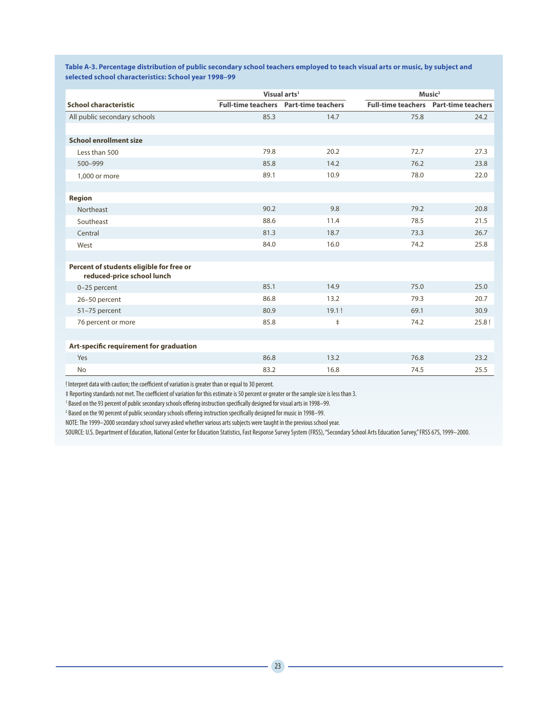**Table A-3. Percentage distribution of public secondary school teachers employed to teach visual arts or music, by subject and selected school characteristics: School year 1998–99**

|                                                                        |      | Visual arts <sup>1</sup>                     | Music <sup>2</sup> |                                              |  |
|------------------------------------------------------------------------|------|----------------------------------------------|--------------------|----------------------------------------------|--|
| <b>School characteristic</b>                                           |      | <b>Full-time teachers</b> Part-time teachers |                    | <b>Full-time teachers</b> Part-time teachers |  |
| All public secondary schools                                           | 85.3 | 14.7                                         | 75.8               | 24.2                                         |  |
|                                                                        |      |                                              |                    |                                              |  |
| <b>School enrollment size</b>                                          |      |                                              |                    |                                              |  |
| Less than 500                                                          | 79.8 | 20.2                                         | 72.7               | 27.3                                         |  |
| 500-999                                                                | 85.8 | 14.2                                         | 76.2               | 23.8                                         |  |
| 1,000 or more                                                          | 89.1 | 10.9                                         | 78.0               | 22.0                                         |  |
|                                                                        |      |                                              |                    |                                              |  |
| <b>Region</b>                                                          |      |                                              |                    |                                              |  |
| Northeast                                                              | 90.2 | 9.8                                          | 79.2               | 20.8                                         |  |
| Southeast                                                              | 88.6 | 11.4                                         | 78.5               | 21.5                                         |  |
| Central                                                                | 81.3 | 18.7                                         | 73.3               | 26.7                                         |  |
| West                                                                   | 84.0 | 16.0                                         | 74.2               | 25.8                                         |  |
|                                                                        |      |                                              |                    |                                              |  |
| Percent of students eligible for free or<br>reduced-price school lunch |      |                                              |                    |                                              |  |
| 0-25 percent                                                           | 85.1 | 14.9                                         | 75.0               | 25.0                                         |  |
| 26-50 percent                                                          | 86.8 | 13.2                                         | 79.3               | 20.7                                         |  |
| 51-75 percent                                                          | 80.9 | 19.1!                                        | 69.1               | 30.9                                         |  |
| 76 percent or more                                                     | 85.8 | $\ddagger$                                   | 74.2               | 25.8!                                        |  |
|                                                                        |      |                                              |                    |                                              |  |
| Art-specific requirement for graduation                                |      |                                              |                    |                                              |  |
| Yes                                                                    | 86.8 | 13.2                                         | 76.8               | 23.2                                         |  |
| <b>No</b>                                                              | 83.2 | 16.8                                         | 74.5               | 25.5                                         |  |

! Interpret data with caution; the coefficient of variation is greater than or equal to 30 percent.

‡ Reporting standards not met. The coefficient of variation for this estimate is 50 percent or greater or the sample size is less than 3.

<sup>1</sup> Based on the 93 percent of public secondary schools offering instruction specifically designed for visual arts in 1998–99.

2 Based on the 90 percent of public secondary schools offering instruction specifically designed for music in 1998–99.

NOTE: The 1999–2000 secondary school survey asked whether various arts subjects were taught in the previous school year.

SOURCE: U.S. Department of Education, National Center for Education Statistics, Fast Response Survey System (FRSS), "Secondary School Arts Education Survey," FRSS 67S, 1999–2000.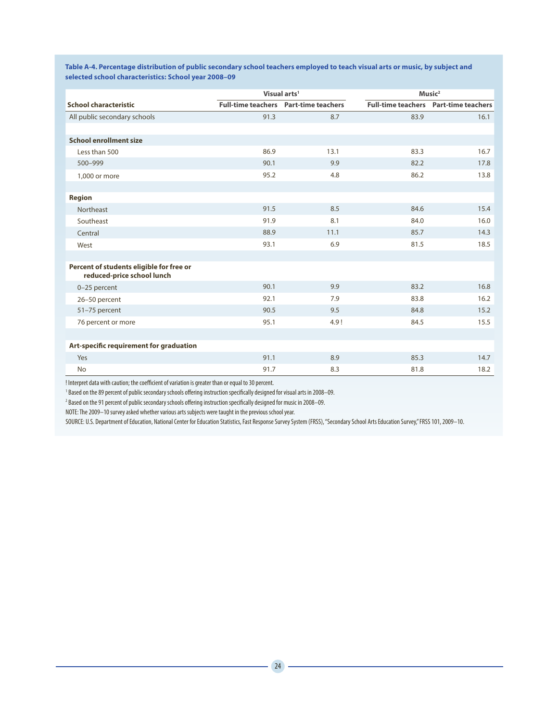|                                                                        |      | Visual arts <sup>1</sup>                     |      | Music <sup>2</sup>                           |
|------------------------------------------------------------------------|------|----------------------------------------------|------|----------------------------------------------|
| <b>School characteristic</b>                                           |      | <b>Full-time teachers</b> Part-time teachers |      | <b>Full-time teachers</b> Part-time teachers |
| All public secondary schools                                           | 91.3 | 8.7                                          | 83.9 | 16.1                                         |
|                                                                        |      |                                              |      |                                              |
| <b>School enrollment size</b>                                          |      |                                              |      |                                              |
| Less than 500                                                          | 86.9 | 13.1                                         | 83.3 | 16.7                                         |
| 500-999                                                                | 90.1 | 9.9                                          | 82.2 | 17.8                                         |
| 1,000 or more                                                          | 95.2 | 4.8                                          | 86.2 | 13.8                                         |
|                                                                        |      |                                              |      |                                              |
| <b>Region</b>                                                          |      |                                              |      |                                              |
| Northeast                                                              | 91.5 | 8.5                                          | 84.6 | 15.4                                         |
| Southeast                                                              | 91.9 | 8.1                                          | 84.0 | 16.0                                         |
| Central                                                                | 88.9 | 11.1                                         | 85.7 | 14.3                                         |
| West                                                                   | 93.1 | 6.9                                          | 81.5 | 18.5                                         |
|                                                                        |      |                                              |      |                                              |
| Percent of students eligible for free or<br>reduced-price school lunch |      |                                              |      |                                              |
| 0-25 percent                                                           | 90.1 | 9.9                                          | 83.2 | 16.8                                         |
| 26-50 percent                                                          | 92.1 | 7.9                                          | 83.8 | 16.2                                         |
| 51-75 percent                                                          | 90.5 | 9.5                                          | 84.8 | 15.2                                         |
| 76 percent or more                                                     | 95.1 | 4.9!                                         | 84.5 | 15.5                                         |
|                                                                        |      |                                              |      |                                              |
| Art-specific requirement for graduation                                |      |                                              |      |                                              |
| Yes                                                                    | 91.1 | 8.9                                          | 85.3 | 14.7                                         |
| <b>No</b>                                                              | 91.7 | 8.3                                          | 81.8 | 18.2                                         |

**Table A-4. Percentage distribution of public secondary school teachers employed to teach visual arts or music, by subject and selected school characteristics: School year 2008–09**

! Interpret data with caution; the coefficient of variation is greater than or equal to 30 percent.

1 Based on the 89 percent of public secondary schools offering instruction specifically designed for visual arts in 2008–09.

 $^2$  Based on the 91 percent of public secondary schools offering instruction specifically designed for music in 2008—09.

NOTE: The 2009–10 survey asked whether various arts subjects were taught in the previous school year.

SOURCE: U.S. Department of Education, National Center for Education Statistics, Fast Response Survey System (FRSS), "Secondary School Arts Education Survey," FRSS 101, 2009–10.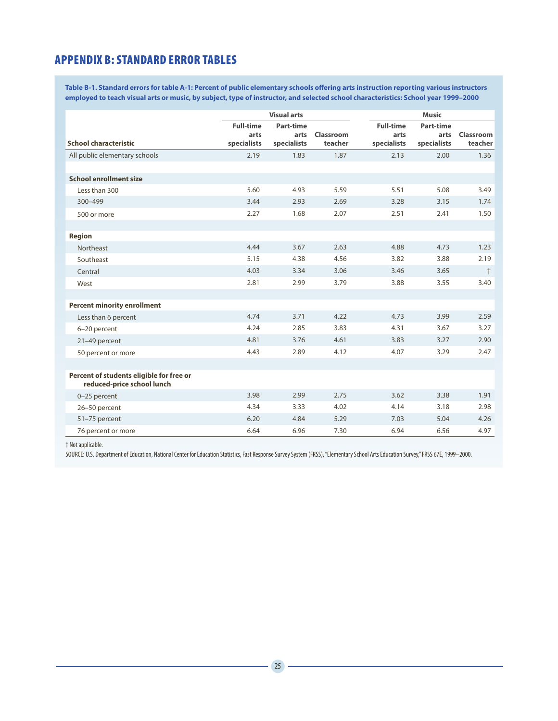#### APPENDIX B: STANDARD ERROR TABLES

**Table B-1. Standard errors for table A-1: Percent of public elementary schools offering arts instruction reporting various instructors employed to teach visual arts or music, by subject, type of instructor, and selected school characteristics: School year 1999–2000**

|                                          | <b>Visual arts</b> |             |           |                  | <b>Music</b>     |            |  |  |
|------------------------------------------|--------------------|-------------|-----------|------------------|------------------|------------|--|--|
|                                          | <b>Full-time</b>   | Part-time   |           | <b>Full-time</b> | <b>Part-time</b> |            |  |  |
|                                          | arts               | arts        | Classroom | arts             | arts             | Classroom  |  |  |
| <b>School characteristic</b>             | specialists        | specialists | teacher   | specialists      | specialists      | teacher    |  |  |
| All public elementary schools            | 2.19               | 1.83        | 1.87      | 2.13             | 2.00             | 1.36       |  |  |
|                                          |                    |             |           |                  |                  |            |  |  |
| <b>School enrollment size</b>            |                    |             |           |                  |                  |            |  |  |
| Less than 300                            | 5.60               | 4.93        | 5.59      | 5.51             | 5.08             | 3.49       |  |  |
| $300 - 499$                              | 3.44               | 2.93        | 2.69      | 3.28             | 3.15             | 1.74       |  |  |
| 500 or more                              | 2.27               | 1.68        | 2.07      | 2.51             | 2.41             | 1.50       |  |  |
|                                          |                    |             |           |                  |                  |            |  |  |
| <b>Region</b>                            |                    |             |           |                  |                  |            |  |  |
| Northeast                                | 4.44               | 3.67        | 2.63      | 4.88             | 4.73             | 1.23       |  |  |
| Southeast                                | 5.15               | 4.38        | 4.56      | 3.82             | 3.88             | 2.19       |  |  |
| Central                                  | 4.03               | 3.34        | 3.06      | 3.46             | 3.65             | $\ddagger$ |  |  |
| West                                     | 2.81               | 2.99        | 3.79      | 3.88             | 3.55             | 3.40       |  |  |
|                                          |                    |             |           |                  |                  |            |  |  |
| <b>Percent minority enrollment</b>       |                    |             |           |                  |                  |            |  |  |
| Less than 6 percent                      | 4.74               | 3.71        | 4.22      | 4.73             | 3.99             | 2.59       |  |  |
| 6-20 percent                             | 4.24               | 2.85        | 3.83      | 4.31             | 3.67             | 3.27       |  |  |
| 21-49 percent                            | 4.81               | 3.76        | 4.61      | 3.83             | 3.27             | 2.90       |  |  |
| 50 percent or more                       | 4.43               | 2.89        | 4.12      | 4.07             | 3.29             | 2.47       |  |  |
|                                          |                    |             |           |                  |                  |            |  |  |
| Percent of students eligible for free or |                    |             |           |                  |                  |            |  |  |
| reduced-price school lunch               |                    |             |           |                  |                  |            |  |  |
| 0-25 percent                             | 3.98               | 2.99        | 2.75      | 3.62             | 3.38             | 1.91       |  |  |
| 26-50 percent                            | 4.34               | 3.33        | 4.02      | 4.14             | 3.18             | 2.98       |  |  |
| 51-75 percent                            | 6.20               | 4.84        | 5.29      | 7.03             | 5.04             | 4.26       |  |  |
| 76 percent or more                       | 6.64               | 6.96        | 7.30      | 6.94             | 6.56             | 4.97       |  |  |

† Not applicable.

SOURCE: U.S. Department of Education, National Center for Education Statistics, Fast Response Survey System (FRSS), "Elementary School Arts Education Survey," FRSS 67E, 1999–2000.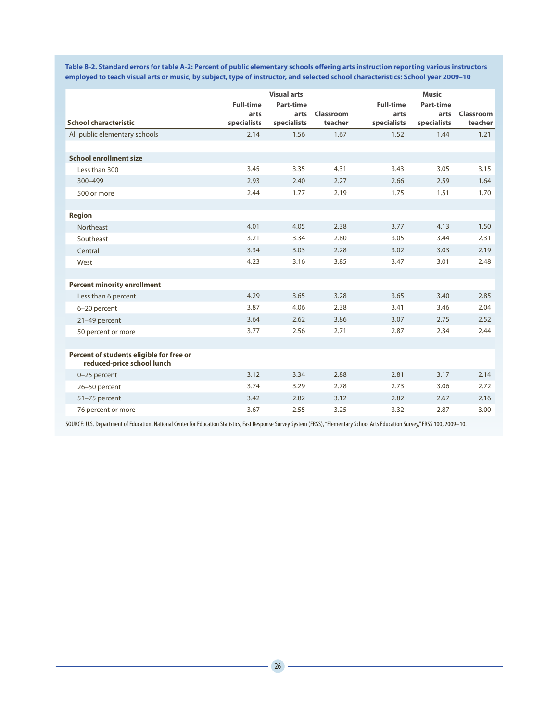**Table B-2. Standard errors for table A-2: Percent of public elementary schools offering arts instruction reporting various instructors employed to teach visual arts or music, by subject, type of instructor, and selected school characteristics: School year 2009–10**

|                                                                        | <b>Visual arts</b> |             |           |                  | <b>Music</b>     |           |
|------------------------------------------------------------------------|--------------------|-------------|-----------|------------------|------------------|-----------|
|                                                                        | <b>Full-time</b>   | Part-time   |           | <b>Full-time</b> | <b>Part-time</b> |           |
| <b>School characteristic</b>                                           | arts               | arts        | Classroom | arts             | arts             | Classroom |
|                                                                        | specialists        | specialists | teacher   | specialists      | specialists      | teacher   |
| All public elementary schools                                          | 2.14               | 1.56        | 1.67      | 1.52             | 1.44             | 1.21      |
|                                                                        |                    |             |           |                  |                  |           |
| <b>School enrollment size</b>                                          |                    |             |           |                  |                  |           |
| Less than 300                                                          | 3.45               | 3.35        | 4.31      | 3.43             | 3.05             | 3.15      |
| $300 - 499$                                                            | 2.93               | 2.40        | 2.27      | 2.66             | 2.59             | 1.64      |
| 500 or more                                                            | 2.44               | 1.77        | 2.19      | 1.75             | 1.51             | 1.70      |
|                                                                        |                    |             |           |                  |                  |           |
| <b>Region</b>                                                          |                    |             |           |                  |                  |           |
| Northeast                                                              | 4.01               | 4.05        | 2.38      | 3.77             | 4.13             | 1.50      |
| Southeast                                                              | 3.21               | 3.34        | 2.80      | 3.05             | 3.44             | 2.31      |
| Central                                                                | 3.34               | 3.03        | 2.28      | 3.02             | 3.03             | 2.19      |
| West                                                                   | 4.23               | 3.16        | 3.85      | 3.47             | 3.01             | 2.48      |
|                                                                        |                    |             |           |                  |                  |           |
| <b>Percent minority enrollment</b>                                     |                    |             |           |                  |                  |           |
| Less than 6 percent                                                    | 4.29               | 3.65        | 3.28      | 3.65             | 3.40             | 2.85      |
| 6-20 percent                                                           | 3.87               | 4.06        | 2.38      | 3.41             | 3.46             | 2.04      |
| 21-49 percent                                                          | 3.64               | 2.62        | 3.86      | 3.07             | 2.75             | 2.52      |
| 50 percent or more                                                     | 3.77               | 2.56        | 2.71      | 2.87             | 2.34             | 2.44      |
|                                                                        |                    |             |           |                  |                  |           |
| Percent of students eligible for free or<br>reduced-price school lunch |                    |             |           |                  |                  |           |
| 0-25 percent                                                           | 3.12               | 3.34        | 2.88      | 2.81             | 3.17             | 2.14      |
| 26-50 percent                                                          | 3.74               | 3.29        | 2.78      | 2.73             | 3.06             | 2.72      |
| 51-75 percent                                                          | 3.42               | 2.82        | 3.12      | 2.82             | 2.67             | 2.16      |
| 76 percent or more                                                     | 3.67               | 2.55        | 3.25      | 3.32             | 2.87             | 3.00      |

SOURCE: U.S. Department of Education, National Center for Education Statistics, Fast Response Survey System (FRSS), "Elementary School Arts Education Survey," FRSS 100, 2009–10.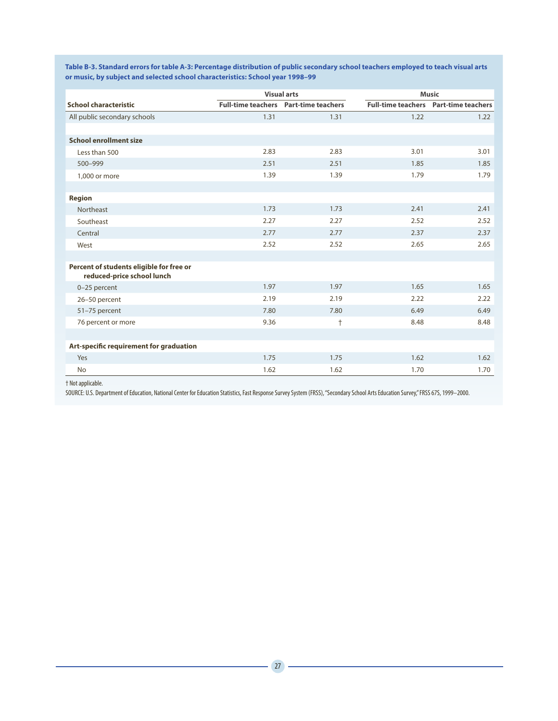|                                                                        |      | <b>Visual arts</b>                           | <b>Music</b> |                                              |  |
|------------------------------------------------------------------------|------|----------------------------------------------|--------------|----------------------------------------------|--|
| <b>School characteristic</b>                                           |      | <b>Full-time teachers</b> Part-time teachers |              | <b>Full-time teachers</b> Part-time teachers |  |
| All public secondary schools                                           | 1.31 | 1.31                                         | 1.22         | 1.22                                         |  |
|                                                                        |      |                                              |              |                                              |  |
| <b>School enrollment size</b>                                          |      |                                              |              |                                              |  |
| Less than 500                                                          | 2.83 | 2.83                                         | 3.01         | 3.01                                         |  |
| 500-999                                                                | 2.51 | 2.51                                         | 1.85         | 1.85                                         |  |
| 1,000 or more                                                          | 1.39 | 1.39                                         | 1.79         | 1.79                                         |  |
|                                                                        |      |                                              |              |                                              |  |
| <b>Region</b>                                                          |      |                                              |              |                                              |  |
| Northeast                                                              | 1.73 | 1.73                                         | 2.41         | 2.41                                         |  |
| Southeast                                                              | 2.27 | 2.27                                         | 2.52         | 2.52                                         |  |
| Central                                                                | 2.77 | 2.77                                         | 2.37         | 2.37                                         |  |
| West                                                                   | 2.52 | 2.52                                         | 2.65         | 2.65                                         |  |
|                                                                        |      |                                              |              |                                              |  |
| Percent of students eligible for free or<br>reduced-price school lunch |      |                                              |              |                                              |  |
| 0-25 percent                                                           | 1.97 | 1.97                                         | 1.65         | 1.65                                         |  |
| 26-50 percent                                                          | 2.19 | 2.19                                         | 2.22         | 2.22                                         |  |
| 51-75 percent                                                          | 7.80 | 7.80                                         | 6.49         | 6.49                                         |  |
| 76 percent or more                                                     | 9.36 | $\ddagger$                                   | 8.48         | 8.48                                         |  |
|                                                                        |      |                                              |              |                                              |  |
| Art-specific requirement for graduation                                |      |                                              |              |                                              |  |
| Yes                                                                    | 1.75 | 1.75                                         | 1.62         | 1.62                                         |  |
| <b>No</b>                                                              | 1.62 | 1.62                                         | 1.70         | 1.70                                         |  |

**Table B-3. Standard errors for table A-3: Percentage distribution of public secondary school teachers employed to teach visual arts or music, by subject and selected school characteristics: School year 1998–99**

† Not applicable.

SOURCE: U.S. Department of Education, National Center for Education Statistics, Fast Response Survey System (FRSS), "Secondary School Arts Education Survey," FRSS 67S, 1999–2000.